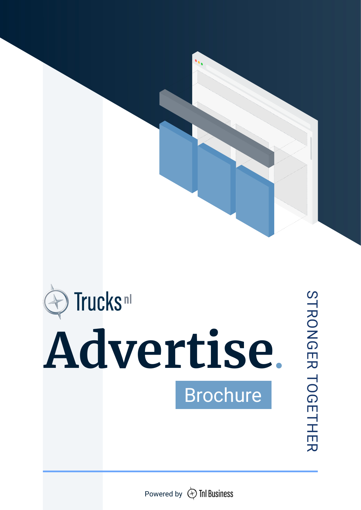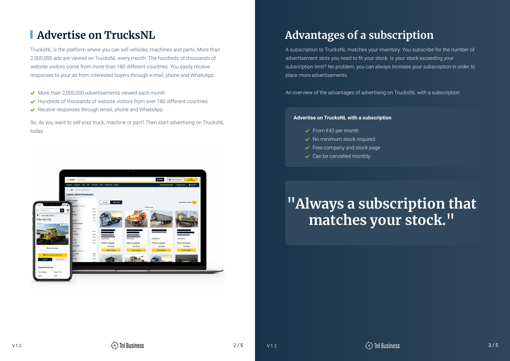#### **Advertise on TrucksNL**

TrucksNL is the platform where you can sell vehicles, machines and parts. More than 2,000,000 ads are viewed on TrucksNL every month. The hundreds of thousands of website visitors come from more than 180 different countries. You easily receive responses to your ad from interested buyers through e-mail, phone and WhatsApp.

- $\triangleright$  More than 2,000,000 advertisements viewed each month
- ◆ Hundreds of thousands of website visitors from over 180 different countries
- ◆ Receive responses through email, phone and WhatsApp

So, do you want to sell your truck, machine or part? Then start advertising on TrucksNL today.



A subscription to TrucksNL matches your inventory. You subscribe for the number of advertisement slots you need to fit your stock. Is your stock exceeding your subscription limit? No problem, you can always increase your subscription in order to place more advertisements.

An overview of the advantages of advertising on TrucksNL with a subscription:

# **"Always a subscription that matches your stock."**

#### **Advertise on TrucksNL with a subscription**

- From  $€43$  per month
- ◆ No minimum stock required
- Free company and stock page
- **◆** Can be cancelled monthly

## **Advantages of a subscription**